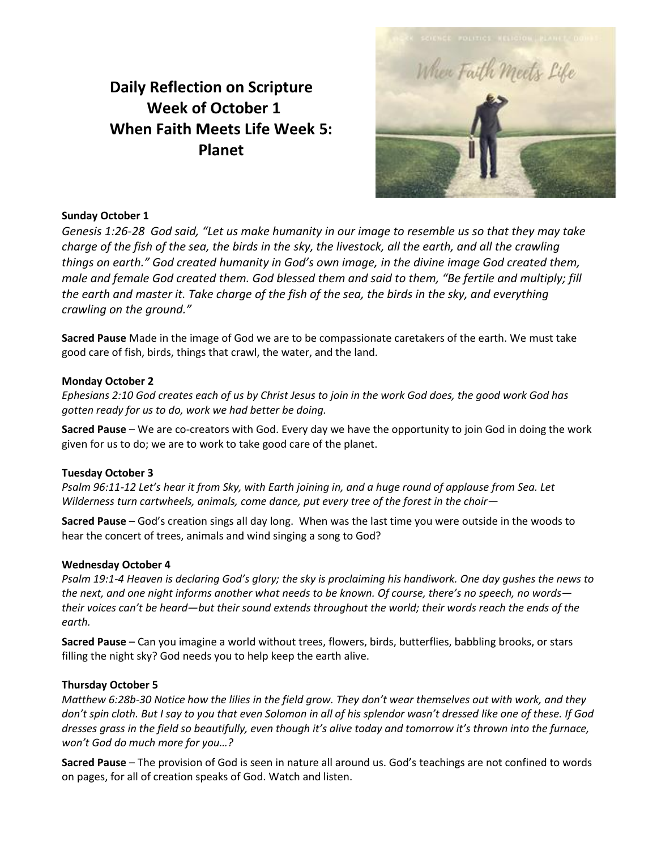# **Daily Reflection on Scripture Week of October 1 When Faith Meets Life Week 5: Planet**



## **Sunday October 1**

*Genesis 1:26-28 God said, "Let us make humanity in our image to resemble us so that they may take charge of the fish of the sea, the birds in the sky, the livestock, all the earth, and all the crawling things on earth." God created humanity in God's own image, in the divine image God created them, male and female God created them. God blessed them and said to them, "Be fertile and multiply; fill the earth and master it. Take charge of the fish of the sea, the birds in the sky, and everything crawling on the ground."*

**Sacred Pause** Made in the image of God we are to be compassionate caretakers of the earth. We must take good care of fish, birds, things that crawl, the water, and the land.

### **Monday October 2**

*Ephesians 2:10 God creates each of us by Christ Jesus to join in the work God does, the good work God has gotten ready for us to do, work we had better be doing.*

**Sacred Pause** – We are co-creators with God. Every day we have the opportunity to join God in doing the work given for us to do; we are to work to take good care of the planet.

#### **Tuesday October 3**

*Psalm 96:11-12 Let's hear it from Sky, with Earth joining in, and a huge round of applause from Sea. Let Wilderness turn cartwheels, animals, come dance, put every tree of the forest in the choir—*

**Sacred Pause** – God's creation sings all day long. When was the last time you were outside in the woods to hear the concert of trees, animals and wind singing a song to God?

#### **Wednesday October 4**

*Psalm 19:1-4 Heaven is declaring God's glory; the sky is proclaiming his handiwork. One day gushes the news to the next, and one night informs another what needs to be known. Of course, there's no speech, no words their voices can't be heard—but their sound extends throughout the world; their words reach the ends of the earth.*

**Sacred Pause** – Can you imagine a world without trees, flowers, birds, butterflies, babbling brooks, or stars filling the night sky? God needs you to help keep the earth alive.

#### **Thursday October 5**

*Matthew 6:28b-30 Notice how the lilies in the field grow. They don't wear themselves out with work, and they don't spin cloth. But I say to you that even Solomon in all of his splendor wasn't dressed like one of these. If God dresses grass in the field so beautifully, even though it's alive today and tomorrow it's thrown into the furnace, won't God do much more for you…?*

**Sacred Pause** – The provision of God is seen in nature all around us. God's teachings are not confined to words on pages, for all of creation speaks of God. Watch and listen.